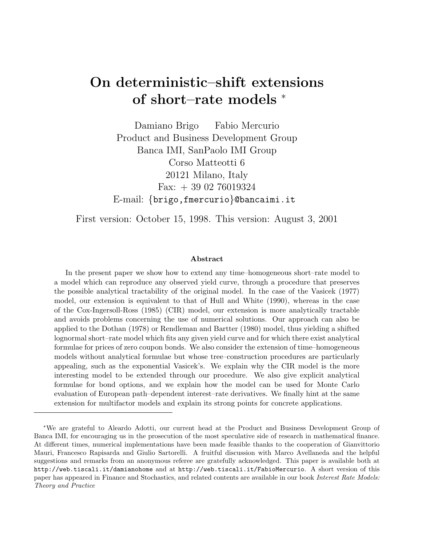# On deterministic–shift extensions of short–rate models <sup>∗</sup>

Damiano Brigo Fabio Mercurio Product and Business Development Group Banca IMI, SanPaolo IMI Group Corso Matteotti 6 20121 Milano, Italy Fax:  $+390276019324$ E-mail: {brigo,fmercurio}@bancaimi.it

First version: October 15, 1998. This version: August 3, 2001

#### Abstract

In the present paper we show how to extend any time–homogeneous short–rate model to a model which can reproduce any observed yield curve, through a procedure that preserves the possible analytical tractability of the original model. In the case of the Vasicek (1977) model, our extension is equivalent to that of Hull and White (1990), whereas in the case of the Cox-Ingersoll-Ross (1985) (CIR) model, our extension is more analytically tractable and avoids problems concerning the use of numerical solutions. Our approach can also be applied to the Dothan (1978) or Rendleman and Bartter (1980) model, thus yielding a shifted lognormal short–rate model which fits any given yield curve and for which there exist analytical formulae for prices of zero coupon bonds. We also consider the extension of time–homogeneous models without analytical formulae but whose tree–construction procedures are particularly appealing, such as the exponential Vasicek's. We explain why the CIR model is the more interesting model to be extended through our procedure. We also give explicit analytical formulae for bond options, and we explain how the model can be used for Monte Carlo evaluation of European path–dependent interest–rate derivatives. We finally hint at the same extension for multifactor models and explain its strong points for concrete applications.

<sup>∗</sup>We are grateful to Aleardo Adotti, our current head at the Product and Business Development Group of Banca IMI, for encouraging us in the prosecution of the most speculative side of research in mathematical finance. At different times, numerical implementations have been made feasible thanks to the cooperation of Gianvittorio Mauri, Francesco Rapisarda and Giulio Sartorelli. A fruitful discussion with Marco Avellaneda and the helpful suggestions and remarks from an anonymous referee are gratefully acknowledged. This paper is available both at http://web.tiscali.it/damianohome and at http://web.tiscali.it/FabioMercurio. A short version of this paper has appeared in Finance and Stochastics, and related contents are available in our book Interest Rate Models: Theory and Practice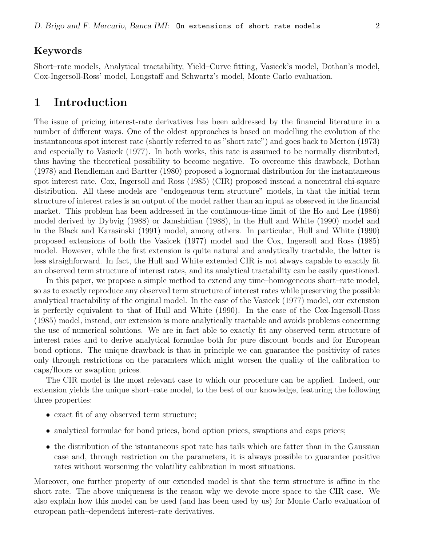#### Keywords

Short–rate models, Analytical tractability, Yield–Curve fitting, Vasicek's model, Dothan's model, Cox-Ingersoll-Ross' model, Longstaff and Schwartz's model, Monte Carlo evaluation.

### 1 Introduction

The issue of pricing interest-rate derivatives has been addressed by the financial literature in a number of different ways. One of the oldest approaches is based on modelling the evolution of the instantaneous spot interest rate (shortly referred to as "short rate") and goes back to Merton (1973) and especially to Vasicek (1977). In both works, this rate is assumed to be normally distributed, thus having the theoretical possibility to become negative. To overcome this drawback, Dothan (1978) and Rendleman and Bartter (1980) proposed a lognormal distribution for the instantaneous spot interest rate. Cox, Ingersoll and Ross (1985) (CIR) proposed instead a noncentral chi-square distribution. All these models are "endogenous term structure" models, in that the initial term structure of interest rates is an output of the model rather than an input as observed in the financial market. This problem has been addressed in the continuous-time limit of the Ho and Lee (1986) model derived by Dybvig (1988) or Jamshidian (1988), in the Hull and White (1990) model and in the Black and Karasinski (1991) model, among others. In particular, Hull and White (1990) proposed extensions of both the Vasicek (1977) model and the Cox, Ingersoll and Ross (1985) model. However, while the first extension is quite natural and analytically tractable, the latter is less straighforward. In fact, the Hull and White extended CIR is not always capable to exactly fit an observed term structure of interest rates, and its analytical tractability can be easily questioned.

In this paper, we propose a simple method to extend any time–homogeneous short–rate model, so as to exactly reproduce any observed term structure of interest rates while preserving the possible analytical tractability of the original model. In the case of the Vasicek (1977) model, our extension is perfectly equivalent to that of Hull and White (1990). In the case of the Cox-Ingersoll-Ross (1985) model, instead, our extension is more analytically tractable and avoids problems concerning the use of numerical solutions. We are in fact able to exactly fit any observed term structure of interest rates and to derive analytical formulae both for pure discount bonds and for European bond options. The unique drawback is that in principle we can guarantee the positivity of rates only through restrictions on the paramters which might worsen the quality of the calibration to caps/floors or swaption prices.

The CIR model is the most relevant case to which our procedure can be applied. Indeed, our extension yields the unique short–rate model, to the best of our knowledge, featuring the following three properties:

- exact fit of any observed term structure;
- analytical formulae for bond prices, bond option prices, swaptions and caps prices;
- the distribution of the istantaneous spot rate has tails which are fatter than in the Gaussian case and, through restriction on the parameters, it is always possible to guarantee positive rates without worsening the volatility calibration in most situations.

Moreover, one further property of our extended model is that the term structure is affine in the short rate. The above uniqueness is the reason why we devote more space to the CIR case. We also explain how this model can be used (and has been used by us) for Monte Carlo evaluation of european path–dependent interest–rate derivatives.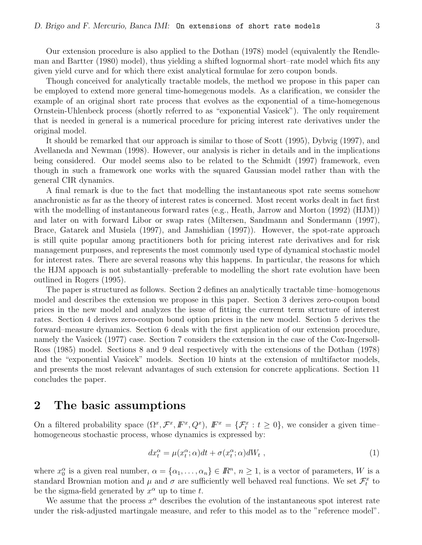Our extension procedure is also applied to the Dothan (1978) model (equivalently the Rendleman and Bartter (1980) model), thus yielding a shifted lognormal short–rate model which fits any given yield curve and for which there exist analytical formulae for zero coupon bonds.

Though conceived for analytically tractable models, the method we propose in this paper can be employed to extend more general time-homegenous models. As a clarification, we consider the example of an original short rate process that evolves as the exponential of a time-homegenous Ornstein-Uhlenbeck process (shortly referred to as "exponential Vasicek"). The only requirement that is needed in general is a numerical procedure for pricing interest rate derivatives under the original model.

It should be remarked that our approach is similar to those of Scott (1995), Dybvig (1997), and Avellaneda and Newman (1998). However, our analysis is richer in details and in the implications being considered. Our model seems also to be related to the Schmidt (1997) framework, even though in such a framework one works with the squared Gaussian model rather than with the general CIR dynamics.

A final remark is due to the fact that modelling the instantaneous spot rate seems somehow anachronistic as far as the theory of interest rates is concerned. Most recent works dealt in fact first with the modelling of instantaneous forward rates (e.g., Heath, Jarrow and Morton (1992) (HJM)) and later on with forward Libor or swap rates (Miltersen, Sandmann and Sondermann (1997), Brace, Gatarek and Musiela (1997), and Jamshidian (1997)). However, the spot-rate approach is still quite popular among practitioners both for pricing interest rate derivatives and for risk management purposes, and represents the most commonly used type of dynamical stochastic model for interest rates. There are several reasons why this happens. In particular, the reasons for which the HJM appoach is not substantially–preferable to modelling the short rate evolution have been outlined in Rogers (1995).

The paper is structured as follows. Section 2 defines an analytically tractable time–homogenous model and describes the extension we propose in this paper. Section 3 derives zero-coupon bond prices in the new model and analyzes the issue of fitting the current term structure of interest rates. Section 4 derives zero-coupon bond option prices in the new model. Section 5 derives the forward–measure dynamics. Section 6 deals with the first application of our extension procedure, namely the Vasicek (1977) case. Section 7 considers the extension in the case of the Cox-Ingersoll-Ross (1985) model. Sections 8 and 9 deal respectively with the extensions of the Dothan (1978) and the "exponential Vasicek" models. Section 10 hints at the extension of multifactor models, and presents the most relevant advantages of such extension for concrete applications. Section 11 concludes the paper.

#### 2 The basic assumptions

On a filtered probability space  $(\Omega^x, \mathcal{F}^x, \mathbb{F}^x, Q^x)$ ,  $\mathbb{F}^x = {\{\mathcal{F}^x_t : t \geq 0\}}$ , we consider a given timehomogeneous stochastic process, whose dynamics is expressed by:

$$
dx_t^{\alpha} = \mu(x_t^{\alpha}; \alpha)dt + \sigma(x_t^{\alpha}; \alpha)dW_t,
$$
\n(1)

where  $x_0^{\alpha}$  is a given real number,  $\alpha = {\alpha_1, \ldots, \alpha_n} \in \mathbb{R}^n$ ,  $n \geq 1$ , is a vector of parameters, W is a standard Brownian motion and  $\mu$  and  $\sigma$  are sufficiently well behaved real functions. We set  $\mathcal{F}_t^x$  to be the sigma-field generated by  $x^{\alpha}$  up to time t.

We assume that the process  $x^{\alpha}$  describes the evolution of the instantaneous spot interest rate under the risk-adjusted martingale measure, and refer to this model as to the "reference model".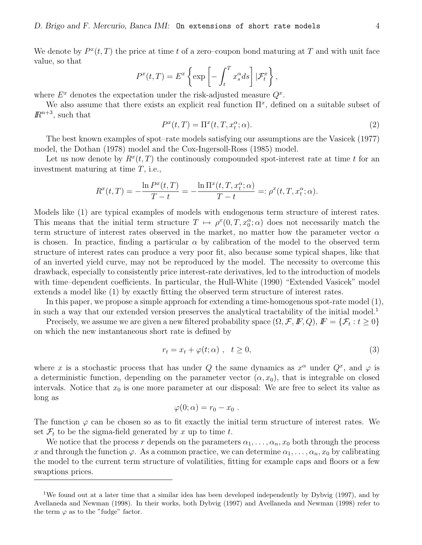We denote by  $P^{x}(t, T)$  the price at time t of a zero–coupon bond maturing at T and with unit face value, so that

$$
P^{x}(t,T) = E^{x} \left\{ \exp \left[ - \int_{t}^{T} x_{s}^{\alpha} ds \right] | \mathcal{F}_{t}^{x} \right\},\,
$$

where  $E^x$  denotes the expectation under the risk-adjusted measure  $Q^x$ .

We also assume that there exists an explicit real function  $\Pi^x$ , defined on a suitable subset of  $\mathbb{R}^{n+3}$ , such that

$$
P^{x}(t,T) = \Pi^{x}(t,T,x_t^{\alpha};\alpha).
$$
\n(2)

The best known examples of spot–rate models satisfying our assumptions are the Vasicek (1977) model, the Dothan (1978) model and the Cox-Ingersoll-Ross (1985) model.

Let us now denote by  $R^x(t,T)$  the continously compounded spot-interest rate at time t for an investment maturing at time T, i.e.,

$$
R^{x}(t,T) = -\frac{\ln P^{x}(t,T)}{T-t} = -\frac{\ln \Pi^{x}(t,T,x_t^{\alpha};\alpha)}{T-t} =: \rho^{x}(t,T,x_t^{\alpha};\alpha).
$$

Models like (1) are typical examples of models with endogenous term structure of interest rates. This means that the initial term structure  $T \mapsto \rho^x(0,T,x_0^{\alpha};\alpha)$  does not necessarily match the term structure of interest rates observed in the market, no matter how the parameter vector  $\alpha$ is chosen. In practice, finding a particular  $\alpha$  by calibration of the model to the observed term structure of interest rates can produce a very poor fit, also because some typical shapes, like that of an inverted yield curve, may not be reproduced by the model. The necessity to overcome this drawback, especially to consistently price interest-rate derivatives, led to the introduction of models with time–dependent coefficients. In particular, the Hull-White (1990) "Extended Vasicek" model extends a model like (1) by exactly fitting the observed term structure of interest rates.

In this paper, we propose a simple approach for extending a time-homogenous spot-rate model (1), in such a way that our extended version preserves the analytical tractability of the initial model.<sup>1</sup>

Precisely, we assume we are given a new filtered probability space  $(\Omega, \mathcal{F}, \mathbb{F}, Q)$ ,  $\mathbb{F} = {\mathcal{F}_t : t \geq 0}$ on which the new instantaneous short rate is defined by

$$
r_t = x_t + \varphi(t; \alpha) , \quad t \ge 0,
$$
\n<sup>(3)</sup>

where x is a stochastic process that has under Q the same dynamics as  $x^{\alpha}$  under  $Q^{x}$ , and  $\varphi$  is a deterministic function, depending on the parameter vector  $(\alpha, x_0)$ , that is integrable on closed intervals. Notice that  $x_0$  is one more parameter at our disposal: We are free to select its value as long as

$$
\varphi(0;\alpha)=r_0-x_0.
$$

The function  $\varphi$  can be chosen so as to fit exactly the initial term structure of interest rates. We set  $\mathcal{F}_t$  to be the sigma-field generated by x up to time t.

We notice that the process r depends on the parameters  $\alpha_1, \ldots, \alpha_n, x_0$  both through the process x and through the function  $\varphi$ . As a common practice, we can determine  $\alpha_1, \ldots, \alpha_n, x_0$  by calibrating the model to the current term structure of volatilities, fitting for example caps and floors or a few swaptions prices.

<sup>1</sup>We found out at a later time that a similar idea has been developed independently by Dybvig (1997), and by Avellaneda and Newman (1998). In their works, both Dybvig (1997) and Avellaneda and Newman (1998) refer to the term  $\varphi$  as to the "fudge" factor.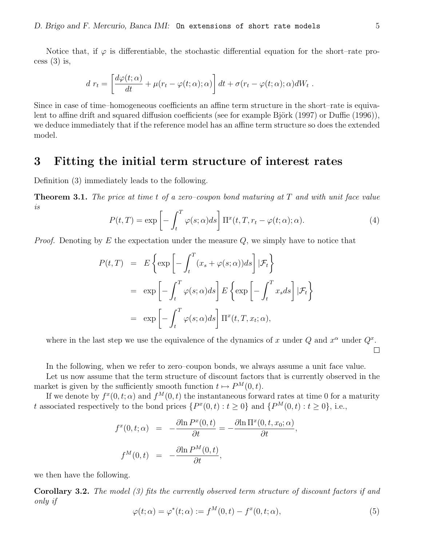Notice that, if  $\varphi$  is differentiable, the stochastic differential equation for the short–rate process  $(3)$  is,

$$
d\ r_t = \left[\frac{d\varphi(t;\alpha)}{dt} + \mu(r_t - \varphi(t;\alpha);\alpha)\right]dt + \sigma(r_t - \varphi(t;\alpha);\alpha)dW_t.
$$

Since in case of time–homogeneous coefficients an affine term structure in the short–rate is equivalent to affine drift and squared diffusion coefficients (see for example Björk  $(1997)$  or Duffie  $(1996)$ ), we deduce immediately that if the reference model has an affine term structure so does the extended model.

### 3 Fitting the initial term structure of interest rates

Definition (3) immediately leads to the following.

**Theorem 3.1.** The price at time t of a zero–coupon bond maturing at  $T$  and with unit face value is

$$
P(t,T) = \exp\left[-\int_t^T \varphi(s;\alpha)ds\right] \Pi^x(t,T,r_t-\varphi(t;\alpha);\alpha). \tag{4}
$$

*Proof.* Denoting by  $E$  the expectation under the measure  $Q$ , we simply have to notice that

$$
P(t,T) = E\left\{\exp\left[-\int_t^T (x_s + \varphi(s;\alpha))ds\right]|\mathcal{F}_t\right\}
$$
  
=  $\exp\left[-\int_t^T \varphi(s;\alpha)ds\right]E\left\{\exp\left[-\int_t^T x_s ds\right]|\mathcal{F}_t\right\}$   
=  $\exp\left[-\int_t^T \varphi(s;\alpha)ds\right]\Pi^x(t,T,x_t;\alpha),$ 

where in the last step we use the equivalence of the dynamics of x under  $Q$  and  $x^{\alpha}$  under  $Q^{x}$ .  $\Box$ 

In the following, when we refer to zero–coupon bonds, we always assume a unit face value.

Let us now assume that the term structure of discount factors that is currently observed in the market is given by the sufficiently smooth function  $t \mapsto P^{M}(0, t)$ .

If we denote by  $f^x(0,t;\alpha)$  and  $f^M(0,t)$  the instantaneous forward rates at time 0 for a maturity t associated respectively to the bond prices  $\{P^x(0,t): t \ge 0\}$  and  $\{P^M(0,t): t \ge 0\}$ , i.e.,

$$
f^{x}(0, t; \alpha) = -\frac{\partial \ln P^{x}(0, t)}{\partial t} = -\frac{\partial \ln \Pi^{x}(0, t, x_{0}; \alpha)}{\partial t},
$$

$$
f^{M}(0, t) = -\frac{\partial \ln P^{M}(0, t)}{\partial t},
$$

we then have the following.

**Corollary 3.2.** The model (3) fits the currently observed term structure of discount factors if and only if

$$
\varphi(t;\alpha) = \varphi^*(t;\alpha) := f^M(0,t) - f^x(0,t;\alpha),\tag{5}
$$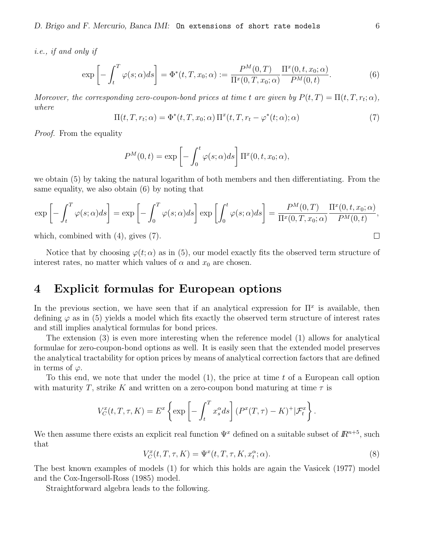i.e., if and only if

$$
\exp\left[-\int_{t}^{T}\varphi(s;\alpha)ds\right] = \Phi^{*}(t,T,x_{0};\alpha) := \frac{P^{M}(0,T)}{\Pi^{x}(0,T,x_{0};\alpha)}\frac{\Pi^{x}(0,t,x_{0};\alpha)}{P^{M}(0,t)}.
$$
\n(6)

Moreover, the corresponding zero-coupon-bond prices at time t are given by  $P(t,T) = \Pi(t,T,r_t;\alpha)$ , where

$$
\Pi(t, T, r_t; \alpha) = \Phi^*(t, T, x_0; \alpha) \Pi^x(t, T, r_t - \varphi^*(t; \alpha); \alpha)
$$
\n<sup>(7)</sup>

Proof. From the equality

$$
P^{M}(0,t) = \exp \left[ - \int_{0}^{t} \varphi(s;\alpha)ds \right] \Pi^{x}(0,t,x_{0};\alpha),
$$

we obtain (5) by taking the natural logarithm of both members and then differentiating. From the same equality, we also obtain (6) by noting that

$$
\exp\left[-\int_t^T \varphi(s;\alpha)ds\right] = \exp\left[-\int_0^T \varphi(s;\alpha)ds\right] \exp\left[\int_0^t \varphi(s;\alpha)ds\right] = \frac{P^M(0,T)}{\Pi^x(0,T,x_0;\alpha)} \frac{\Pi^x(0,t,x_0;\alpha)}{P^M(0,t)},
$$

which, combined with (4), gives (7).

Notice that by choosing  $\varphi(t;\alpha)$  as in (5), our model exactly fits the observed term structure of interest rates, no matter which values of  $\alpha$  and  $x_0$  are chosen.

### 4 Explicit formulas for European options

In the previous section, we have seen that if an analytical expression for  $\Pi^x$  is available, then defining  $\varphi$  as in (5) yields a model which fits exactly the observed term structure of interest rates and still implies analytical formulas for bond prices.

The extension (3) is even more interesting when the reference model (1) allows for analytical formulae for zero-coupon-bond options as well. It is easily seen that the extended model preserves the analytical tractability for option prices by means of analytical correction factors that are defined in terms of  $\varphi$ .

To this end, we note that under the model  $(1)$ , the price at time t of a European call option with maturity T, strike K and written on a zero-coupon bond maturing at time  $\tau$  is

$$
V_C^x(t,T,\tau,K) = E^x \left\{ \exp \left[ - \int_t^T x_s^\alpha ds \right] (P^x(T,\tau) - K)^+ | \mathcal{F}_t^x \right\}.
$$

We then assume there exists an explicit real function  $\Psi^x$  defined on a suitable subset of  $\mathbb{R}^{n+5}$ , such that

> $V_C^x(t,T,\tau,K) = \Psi^x(t,T,\tau,K,x_t^{\alpha})$  $;\alpha$ ). (8)

The best known examples of models (1) for which this holds are again the Vasicek (1977) model and the Cox-Ingersoll-Ross (1985) model.

Straightforward algebra leads to the following.

$$
\qquad \qquad \Box
$$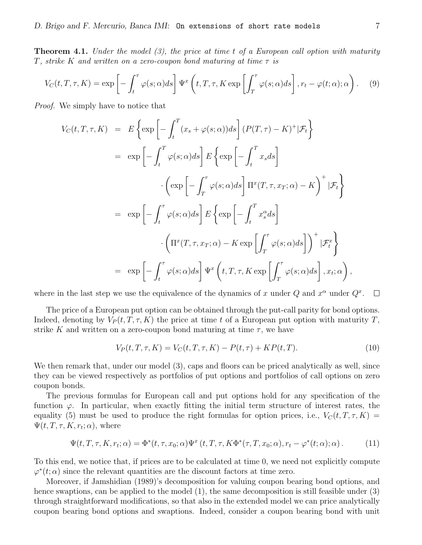**Theorem 4.1.** Under the model  $(3)$ , the price at time t of a European call option with maturity T, strike K and written on a zero-coupon bond maturing at time  $\tau$  is

$$
V_C(t, T, \tau, K) = \exp\left[-\int_t^\tau \varphi(s; \alpha) ds\right] \Psi^x\left(t, T, \tau, K \exp\left[\int_T^\tau \varphi(s; \alpha) ds\right], r_t - \varphi(t; \alpha); \alpha\right). \tag{9}
$$

Proof. We simply have to notice that

$$
V_C(t, T, \tau, K) = E \left\{ \exp \left[ - \int_t^T (x_s + \varphi(s; \alpha)) ds \right] (P(T, \tau) - K)^+ | \mathcal{F}_t \right\}
$$
  
\n
$$
= \exp \left[ - \int_t^T \varphi(s; \alpha) ds \right] E \left\{ \exp \left[ - \int_t^T x_s ds \right]
$$
  
\n
$$
\cdot \left( \exp \left[ - \int_T^{\tau} \varphi(s; \alpha) ds \right] \Pi^x(T, \tau, x_T; \alpha) - K \right)^+ | \mathcal{F}_t \right\}
$$
  
\n
$$
= \exp \left[ - \int_t^{\tau} \varphi(s; \alpha) ds \right] E \left\{ \exp \left[ - \int_t^T x_s^{\alpha} ds \right]
$$
  
\n
$$
\cdot \left( \Pi^x(T, \tau, x_T; \alpha) - K \exp \left[ \int_T^{\tau} \varphi(s; \alpha) ds \right] \right)^+ | \mathcal{F}_t^x \right\}
$$
  
\n
$$
= \exp \left[ - \int_t^{\tau} \varphi(s; \alpha) ds \right] \Psi^x \left( t, T, \tau, K \exp \left[ \int_T^{\tau} \varphi(s; \alpha) ds \right], x_t; \alpha \right),
$$

where in the last step we use the equivalence of the dynamics of x under Q and  $x^{\alpha}$  under  $Q^{x}$ .  $\Box$ 

The price of a European put option can be obtained through the put-call parity for bond options. Indeed, denoting by  $V_P(t, T, \tau, K)$  the price at time t of a European put option with maturity T, strike K and written on a zero-coupon bond maturing at time  $\tau$ , we have

$$
V_P(t, T, \tau, K) = V_C(t, T, \tau, K) - P(t, \tau) + KP(t, T). \tag{10}
$$

We then remark that, under our model  $(3)$ , caps and floors can be priced analytically as well, since they can be viewed respectively as portfolios of put options and portfolios of call options on zero coupon bonds.

The previous formulas for European call and put options hold for any specification of the function  $\varphi$ . In particular, when exactly fitting the initial term structure of interest rates, the equality (5) must be used to produce the right formulas for option prices, i.e.,  $V_C(t, T, \tau, K)$  =  $\Psi(t, T, \tau, K, r_t; \alpha)$ , where

$$
\Psi(t,T,\tau,K,r_t;\alpha) = \Phi^*(t,\tau,x_0;\alpha)\Psi^x(t,T,\tau,K\Phi^*(\tau,T,x_0;\alpha),r_t-\varphi^*(t;\alpha);\alpha).
$$
 (11)

To this end, we notice that, if prices are to be calculated at time 0, we need not explicitly compute  $\varphi^*(t; \alpha)$  since the relevant quantities are the discount factors at time zero.

Moreover, if Jamshidian (1989)'s decomposition for valuing coupon bearing bond options, and hence swaptions, can be applied to the model (1), the same decomposition is still feasible under (3) through straightforward modifications, so that also in the extended model we can price analytically coupon bearing bond options and swaptions. Indeed, consider a coupon bearing bond with unit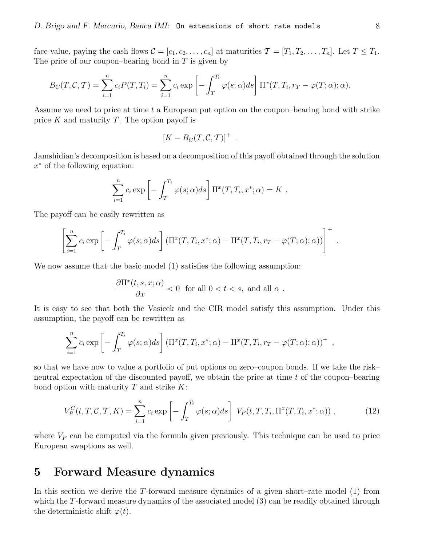face value, paying the cash flows  $\mathcal{C} = [c_1, c_2, \dots, c_n]$  at maturities  $\mathcal{T} = [T_1, T_2, \dots, T_n]$ . Let  $T \leq T_1$ . The price of our coupon–bearing bond in  $T$  is given by

$$
B_C(T, \mathcal{C}, \mathcal{T}) = \sum_{i=1}^n c_i P(T, T_i) = \sum_{i=1}^n c_i \exp\left[-\int_T^{T_i} \varphi(s; \alpha) ds\right] \Pi^x(T, T_i, r_T - \varphi(T; \alpha); \alpha).
$$

Assume we need to price at time t a European put option on the coupon–bearing bond with strike price  $K$  and maturity  $T$ . The option payoff is

$$
[K-B_C(T,\mathcal{C},\mathcal{T})]^+ .
$$

Jamshidian's decomposition is based on a decomposition of this payoff obtained through the solution x <sup>∗</sup> of the following equation:

$$
\sum_{i=1}^{n} c_i \exp \left[ - \int_T^{T_i} \varphi(s; \alpha) ds \right] \Pi^x(T, T_i, x^*; \alpha) = K.
$$

The payoff can be easily rewritten as

$$
\left[\sum_{i=1}^n c_i \exp\left[-\int_T^{T_i} \varphi(s;\alpha)ds\right] (\Pi^x(T,T_i,x^*;\alpha) - \Pi^x(T,T_i,r_T-\varphi(T;\alpha);\alpha))\right]^+.
$$

We now assume that the basic model (1) satisfies the following assumption:

$$
\frac{\partial \Pi^x(t,s,x;\alpha)}{\partial x} < 0 \quad \text{for all } 0 < t < s, \text{ and all } \alpha \; .
$$

It is easy to see that both the Vasicek and the CIR model satisfy this assumption. Under this assumption, the payoff can be rewritten as

$$
\sum_{i=1}^n c_i \exp\left[-\int_T^{T_i} \varphi(s;\alpha)ds\right] \left(\Pi^x(T,T_i,x^*;\alpha) - \Pi^x(T,T_i,r_T-\varphi(T;\alpha);\alpha)\right)^+ ,
$$

so that we have now to value a portfolio of put options on zero–coupon bonds. If we take the risk– neutral expectation of the discounted payoff, we obtain the price at time  $t$  of the coupon–bearing bond option with maturity  $T$  and strike  $K$ :

$$
V_P^C(t, T, \mathcal{C}, \mathcal{T}, K) = \sum_{i=1}^n c_i \exp\left[-\int_T^{T_i} \varphi(s; \alpha) ds\right] V_P(t, T, T_i, \Pi^x(T, T_i, x^*; \alpha)), \tag{12}
$$

where  $V_P$  can be computed via the formula given previously. This technique can be used to price European swaptions as well.

#### 5 Forward Measure dynamics

In this section we derive the T-forward measure dynamics of a given short–rate model (1) from which the T-forward measure dynamics of the associated model (3) can be readily obtained through the deterministic shift  $\varphi(t)$ .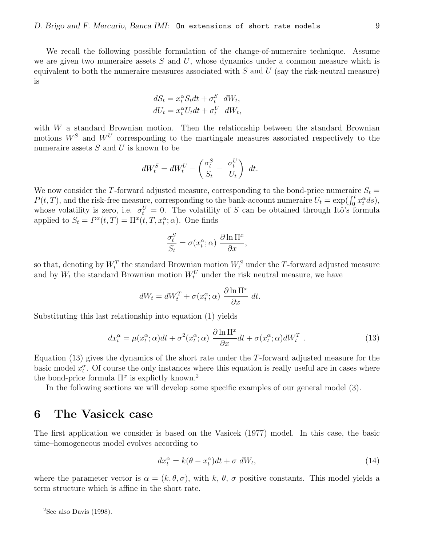We recall the following possible formulation of the change-of-numeraire technique. Assume we are given two numeraire assets  $S$  and  $U$ , whose dynamics under a common measure which is equivalent to both the numeraire measures associated with  $S$  and  $U$  (say the risk-neutral measure) is

$$
dS_t = x_t^{\alpha} S_t dt + \sigma_t^S dW_t,
$$
  

$$
dU_t = x_t^{\alpha} U_t dt + \sigma_t^U dW_t,
$$

with  $W$  a standard Brownian motion. Then the relationship between the standard Brownian motions  $W^S$  and  $W^U$  corresponding to the martingale measures associated respectively to the numeraire assets  $S$  and  $U$  is known to be

$$
dW_t^S = dW_t^U - \left(\frac{\sigma_t^S}{S_t} - \frac{\sigma_t^U}{U_t}\right) dt.
$$

We now consider the T-forward adjusted measure, corresponding to the bond-price numeraire  $S_t$  $P(t,T)$ , and the risk-free measure, corresponding to the bank-account numeraire  $U_t = \exp(\int_0^t x_t^{\alpha} ds)$ , whose volatility is zero, i.e.  $\sigma_t^U = 0$ . The volatility of S can be obtained through Itô's formula applied to  $S_t = P^x(t,T) = \Pi^x(t,T,x_t^{\alpha};\alpha)$ . One finds

$$
\frac{\sigma_t^S}{S_t} = \sigma(x_t^\alpha; \alpha) \frac{\partial \ln \Pi^x}{\partial x},
$$

so that, denoting by  $W_t^T$  the standard Brownian motion  $W_t^S$  under the T-forward adjusted measure and by  $W_t$  the standard Brownian motion  $W_t^U$  under the risk neutral measure, we have

$$
dW_t = dW_t^T + \sigma(x_t^{\alpha}; \alpha) \frac{\partial \ln \Pi^x}{\partial x} dt.
$$

Substituting this last relationship into equation (1) yields

$$
dx_t^{\alpha} = \mu(x_t^{\alpha}; \alpha)dt + \sigma^2(x_t^{\alpha}; \alpha) \frac{\partial \ln \Pi^x}{\partial x} dt + \sigma(x_t^{\alpha}; \alpha) dW_t^T. \qquad (13)
$$

Equation (13) gives the dynamics of the short rate under the T-forward adjusted measure for the basic model  $x_t^{\alpha}$ . Of course the only instances where this equation is really useful are in cases where the bond-price formula  $\Pi^x$  is explictly known.<sup>2</sup>

In the following sections we will develop some specific examples of our general model (3).

### 6 The Vasicek case

The first application we consider is based on the Vasicek (1977) model. In this case, the basic time–homogeneous model evolves according to

$$
dx_t^{\alpha} = k(\theta - x_t^{\alpha})dt + \sigma \ dW_t,
$$
\n(14)

where the parameter vector is  $\alpha = (k, \theta, \sigma)$ , with k,  $\theta$ ,  $\sigma$  positive constants. This model yields a term structure which is affine in the short rate.

 $2$ See also Davis (1998).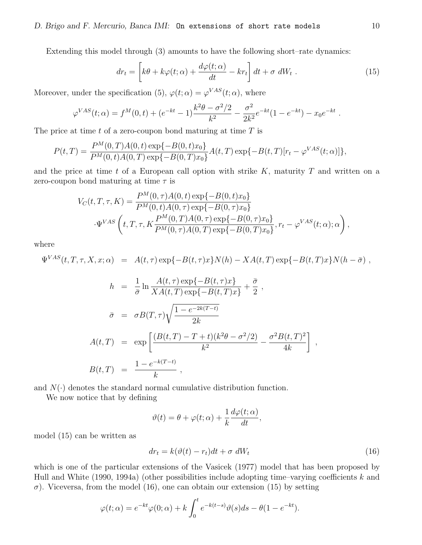Extending this model through (3) amounts to have the following short–rate dynamics:

$$
dr_t = \left[k\theta + k\varphi(t;\alpha) + \frac{d\varphi(t;\alpha)}{dt} - kr_t\right]dt + \sigma \ dW_t \ . \tag{15}
$$

Moreover, under the specification (5),  $\varphi(t;\alpha) = \varphi^{VAS}(t;\alpha)$ , where

$$
\varphi^{VAS}(t; \alpha) = f^M(0, t) + (e^{-kt} - 1) \frac{k^2 \theta - \sigma^2/2}{k^2} - \frac{\sigma^2}{2k^2} e^{-kt} (1 - e^{-kt}) - x_0 e^{-kt}.
$$

The price at time  $t$  of a zero-coupon bond maturing at time  $T$  is

$$
P(t,T) = \frac{P^M(0,T)A(0,t) \exp\{-B(0,t)x_0\}}{P^M(0,t)A(0,T) \exp\{-B(0,T)x_0\}} A(t,T) \exp\{-B(t,T)[r_t - \varphi^{VAS}(t;\alpha)]\},
$$

and the price at time t of a European call option with strike K, maturity  $T$  and written on a zero-coupon bond maturing at time  $\tau$  is

$$
V_C(t, T, \tau, K) = \frac{P^M(0, \tau)A(0, t) \exp\{-B(0, t)x_0\}}{P^M(0, t)A(0, \tau) \exp\{-B(0, \tau)x_0\}}
$$

$$
\cdot \Psi^{VAS}\left(t, T, \tau, K \frac{P^M(0, T)A(0, \tau) \exp\{-B(0, \tau)x_0\}}{P^M(0, \tau)A(0, T) \exp\{-B(0, T)x_0\}}, r_t - \varphi^{VAS}(t; \alpha); \alpha\right),
$$

where

$$
\Psi^{VAS}(t, T, \tau, X, x; \alpha) = A(t, \tau) \exp\{-B(t, \tau)x\} N(h) - X A(t, T) \exp\{-B(t, T)x\} N(h - \bar{\sigma}) ,
$$

$$
h = \frac{1}{\bar{\sigma}} \ln \frac{A(t,\tau) \exp\{-B(t,\tau)x\}}{XA(t,T) \exp\{-B(t,T)x\}} + \frac{\bar{\sigma}}{2},
$$
  

$$
\bar{\sigma} = \sigma B(T,\tau) \sqrt{\frac{1 - e^{-2k(T-t)}}{2k}}
$$
  

$$
A(t,T) = \exp \left[ \frac{(B(t,T) - T + t)(k^2 \theta - \sigma^2/2)}{k^2} - \frac{\sigma^2 B(t,T)^2}{4k} \right]
$$
  

$$
B(t,T) = \frac{1 - e^{-k(T-t)}}{k},
$$

and  $N(\cdot)$  denotes the standard normal cumulative distribution function.

We now notice that by defining

$$
\vartheta(t) = \theta + \varphi(t; \alpha) + \frac{1}{k} \frac{d\varphi(t; \alpha)}{dt},
$$

model (15) can be written as

$$
dr_t = k(\vartheta(t) - r_t)dt + \sigma \, dW_t \tag{16}
$$

,

which is one of the particular extensions of the Vasicek (1977) model that has been proposed by Hull and White (1990, 1994a) (other possibilities include adopting time–varying coefficients k and  $\sigma$ ). Viceversa, from the model (16), one can obtain our extension (15) by setting

$$
\varphi(t;\alpha) = e^{-kt}\varphi(0;\alpha) + k \int_0^t e^{-k(t-s)}\vartheta(s)ds - \theta(1 - e^{-kt}).
$$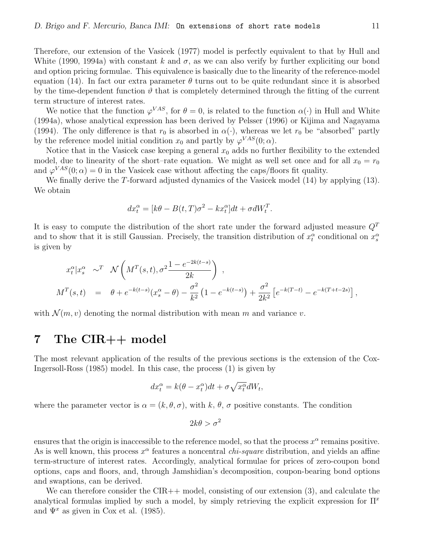Therefore, our extension of the Vasicek (1977) model is perfectly equivalent to that by Hull and White (1990, 1994a) with constant k and  $\sigma$ , as we can also verify by further expliciting our bond and option pricing formulae. This equivalence is basically due to the linearity of the reference-model equation (14). In fact our extra parameter  $\theta$  turns out to be quite redundant since it is absorbed by the time-dependent function  $\vartheta$  that is completely determined through the fitting of the current term structure of interest rates.

We notice that the function  $\varphi^{VAS}$ , for  $\theta = 0$ , is related to the function  $\alpha(\cdot)$  in Hull and White (1994a), whose analytical expression has been derived by Pelsser (1996) or Kijima and Nagayama (1994). The only difference is that  $r_0$  is absorbed in  $\alpha(\cdot)$ , whereas we let  $r_0$  be "absorbed" partly by the reference model initial condition  $x_0$  and partly by  $\varphi^{VAS}(0; \alpha)$ .

Notice that in the Vasicek case keeping a general  $x_0$  adds no further flexibility to the extended model, due to linearity of the short–rate equation. We might as well set once and for all  $x_0 = r_0$ and  $\varphi^{VAS}(0;\alpha) = 0$  in the Vasicek case without affecting the caps/floors fit quality.

We finally derive the T-forward adjusted dynamics of the Vasicek model (14) by applying (13). We obtain

$$
dx_t^{\alpha} = [k\theta - B(t,T)\sigma^2 - kx_t^{\alpha}]dt + \sigma dW_t^T.
$$

It is easy to compute the distribution of the short rate under the forward adjusted measure  $Q<sup>T</sup>$ and to show that it is still Gaussian. Precisely, the transition distribution of  $x_t^{\alpha}$  conditional on  $x_s^{\alpha}$ is given by

$$
x_t^{\alpha} | x_s^{\alpha} \sim^T \mathcal{N}\left(M^T(s,t), \sigma^2 \frac{1 - e^{-2k(t-s)}}{2k}\right),
$$
  

$$
M^T(s,t) = \theta + e^{-k(t-s)}(x_s^{\alpha} - \theta) - \frac{\sigma^2}{k^2} \left(1 - e^{-k(t-s)}\right) + \frac{\sigma^2}{2k^2} \left[e^{-k(T-t)} - e^{-k(T+t-2s)}\right],
$$

with  $\mathcal{N}(m, v)$  denoting the normal distribution with mean m and variance v.

## 7 The CIR++ model

The most relevant application of the results of the previous sections is the extension of the Cox-Ingersoll-Ross (1985) model. In this case, the process (1) is given by

$$
dx_t^{\alpha} = k(\theta - x_t^{\alpha})dt + \sigma \sqrt{x_t^{\alpha}}dW_t,
$$

where the parameter vector is  $\alpha = (k, \theta, \sigma)$ , with k,  $\theta$ ,  $\sigma$  positive constants. The condition

$$
2k\theta > \sigma^2
$$

ensures that the origin is inaccessible to the reference model, so that the process  $x^{\alpha}$  remains positive. As is well known, this process  $x^{\alpha}$  features a noncentral *chi-square* distribution, and yields an affine term-structure of interest rates. Accordingly, analytical formulae for prices of zero-coupon bond options, caps and floors, and, through Jamshidian's decomposition, coupon-bearing bond options and swaptions, can be derived.

We can therefore consider the CIR++ model, consisting of our extension (3), and calculate the analytical formulas implied by such a model, by simply retrieving the explicit expression for  $\Pi^x$ and  $\Psi^x$  as given in Cox et al. (1985).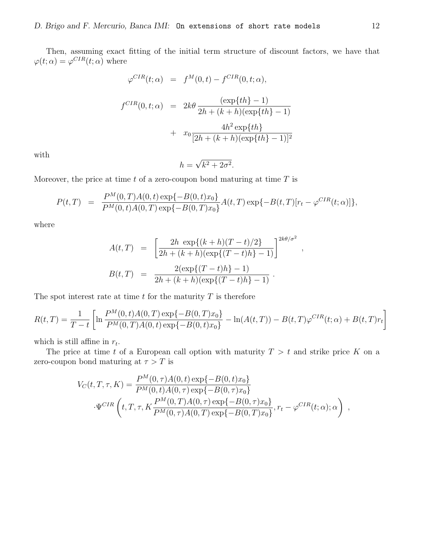Then, assuming exact fitting of the initial term structure of discount factors, we have that  $\varphi(t;\alpha) = \varphi^{CIR}(t;\alpha)$  where

$$
\varphi^{CIR}(t; \alpha) = f^{M}(0, t) - f^{CIR}(0, t; \alpha),
$$
  

$$
f^{CIR}(0, t; \alpha) = 2k\theta \frac{(\exp\{th\} - 1)}{2h + (k + h)(\exp\{th\} - 1)}
$$
  

$$
+ x_0 \frac{4h^2 \exp\{th\}}{[2h + (k + h)(\exp\{th\} - 1)]^2}
$$

with

$$
h = \sqrt{k^2 + 2\sigma^2}.
$$

Moreover, the price at time  $t$  of a zero-coupon bond maturing at time  $T$  is

$$
P(t,T) = \frac{P^M(0,T)A(0,t) \exp\{-B(0,t)x_0\}}{P^M(0,t)A(0,T) \exp\{-B(0,T)x_0\}} A(t,T) \exp\{-B(t,T)[r_t - \varphi^{CIR}(t;\alpha)]\},
$$

where

$$
A(t,T) = \left[ \frac{2h \exp\{(k+h)(T-t)/2\}}{2h + (k+h)(\exp\{(T-t)h\} - 1)} \right]^{2k\theta/\sigma^2}
$$
  

$$
B(t,T) = \frac{2(\exp\{(T-t)h\} - 1)}{2h + (k+h)(\exp\{(T-t)h\} - 1)}.
$$

,

The spot interest rate at time  $t$  for the maturity  $T$  is therefore

$$
R(t,T) = \frac{1}{T-t} \left[ \ln \frac{P^M(0,t)A(0,T) \exp\{-B(0,T)x_0\}}{P^M(0,T)A(0,t) \exp\{-B(0,t)x_0\}} - \ln(A(t,T)) - B(t,T)\varphi^{CIR}(t;\alpha) + B(t,T)r_t \right]
$$

which is still affine in  $r_t$ .

The price at time t of a European call option with maturity  $T > t$  and strike price K on a zero-coupon bond maturing at  $\tau > T$  is

$$
V_C(t, T, \tau, K) = \frac{P^M(0, \tau)A(0, t) \exp\{-B(0, t)x_0\}}{P^M(0, t)A(0, \tau) \exp\{-B(0, \tau)x_0\}}
$$

$$
\cdot \Psi^{CIR}\left(t, T, \tau, K \frac{P^M(0, T)A(0, \tau) \exp\{-B(0, \tau)x_0\}}{P^M(0, \tau)A(0, T) \exp\{-B(0, T)x_0\}}, r_t - \varphi^{CIR}(t; \alpha); \alpha\right) ,
$$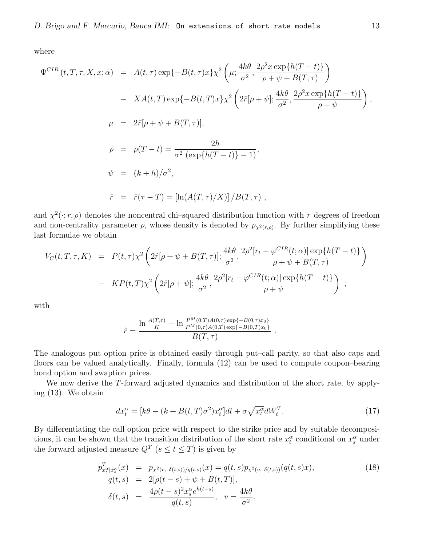where

$$
\Psi^{CIR}(t, T, \tau, X, x; \alpha) = A(t, \tau) \exp\{-B(t, \tau)x\} \chi^2 \left(\mu; \frac{4k\theta}{\sigma^2}, \frac{2\rho^2 x \exp\{h(T-t)\}}{\rho + \psi + B(T, \tau)}\right)
$$
  
\n
$$
- X A(t, T) \exp\{-B(t, T)x\} \chi^2 \left(2\bar{r}[\rho + \psi]; \frac{4k\theta}{\sigma^2}, \frac{2\rho^2 x \exp\{h(T-t)\}}{\rho + \psi}\right),
$$
  
\n
$$
\mu = 2\bar{r}[\rho + \psi + B(T, \tau)],
$$
  
\n
$$
\rho = \rho(T - t) = \frac{2h}{\sigma^2 (\exp\{h(T-t)\} - 1)},
$$
  
\n
$$
\psi = (k + h)/\sigma^2,
$$
  
\n
$$
\bar{r} = \bar{r}(\tau - T) = [\ln(A(T, \tau)/X)] / B(T, \tau),
$$

and  $\chi^2(\cdot; r, \rho)$  denotes the noncentral chi-squared distribution function with r degrees of freedom and non-centrality parameter  $\rho$ , whose density is denoted by  $p_{\chi^2(r,\rho)}$ . By further simplifying these last formulae we obtain

$$
V_C(t, T, \tau, K) = P(t, \tau) \chi^2 \left( 2\hat{r}[\rho + \psi + B(T, \tau)]; \frac{4k\theta}{\sigma^2}, \frac{2\rho^2[r_t - \varphi^{CIR}(t; \alpha)]\exp\{h(T - t)\}}{\rho + \psi + B(T, \tau)} \right)
$$
  
- 
$$
K P(t, T) \chi^2 \left( 2\hat{r}[\rho + \psi]; \frac{4k\theta}{\sigma^2}, \frac{2\rho^2[r_t - \varphi^{CIR}(t; \alpha)]\exp\{h(T - t)\}}{\rho + \psi} \right) ,
$$

with

$$
\hat{r} = \frac{\ln \frac{A(T,\tau)}{K} - \ln \frac{P^M(0,T)A(0,\tau) \exp\{-B(0,\tau)x_0\}}{P^M(0,\tau)A(0,T) \exp\{-B(0,T)x_0\}}}{B(T,\tau)}.
$$

The analogous put option price is obtained easily through put–call parity, so that also caps and floors can be valued analytically. Finally, formula (12) can be used to compute coupon–bearing bond option and swaption prices.

We now derive the T-forward adjusted dynamics and distribution of the short rate, by applying (13). We obtain

$$
dx_t^{\alpha} = [k\theta - (k + B(t, T)\sigma^2)x_t^{\alpha}]dt + \sigma\sqrt{x_t^{\alpha}}dW_t^T.
$$
\n(17)

By differentiating the call option price with respect to the strike price and by suitable decompositions, it can be shown that the transition distribution of the short rate  $x_t^{\alpha}$  conditional on  $x_s^{\alpha}$  under the forward adjusted measure  $Q^T$  ( $s \le t \le T$ ) is given by

$$
p_{x_t^{\alpha}|x_s^{\alpha}}^T(x) = p_{\chi^2(v, \delta(t,s))/q(t,s)}(x) = q(t,s)p_{\chi^2(v, \delta(t,s))}(q(t,s)x),
$$
  
\n
$$
q(t,s) = 2[\rho(t-s) + \psi + B(t,T)],
$$
  
\n
$$
\delta(t,s) = \frac{4\rho(t-s)^2 x_s^{\alpha} e^{h(t-s)}}{q(t,s)}, \quad v = \frac{4k\theta}{\sigma^2}.
$$
\n(18)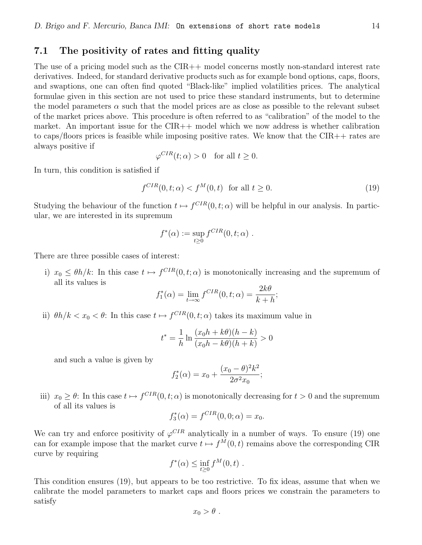#### 7.1 The positivity of rates and fitting quality

The use of a pricing model such as the CIR++ model concerns mostly non-standard interest rate derivatives. Indeed, for standard derivative products such as for example bond options, caps, floors, and swaptions, one can often find quoted "Black-like" implied volatilities prices. The analytical formulae given in this section are not used to price these standard instruments, but to determine the model parameters  $\alpha$  such that the model prices are as close as possible to the relevant subset of the market prices above. This procedure is often referred to as "calibration" of the model to the market. An important issue for the CIR++ model which we now address is whether calibration to caps/floors prices is feasible while imposing positive rates. We know that the CIR++ rates are always positive if

$$
\varphi^{CIR}(t; \alpha) > 0 \quad \text{for all } t \ge 0.
$$

In turn, this condition is satisfied if

$$
f^{CIR}(0, t; \alpha) < f^M(0, t) \quad \text{for all } t \ge 0. \tag{19}
$$

Studying the behaviour of the function  $t \mapsto f^{CIR}(0, t; \alpha)$  will be helpful in our analysis. In particular, we are interested in its supremum

$$
f^*(\alpha) := \sup_{t \ge 0} f^{CIR}(0, t; \alpha) .
$$

There are three possible cases of interest:

i)  $x_0 \leq \theta h/k$ : In this case  $t \mapsto f^{CIR}(0, t; \alpha)$  is monotonically increasing and the supremum of all its values is

$$
f_1^*(\alpha) = \lim_{t \to \infty} f^{CIR}(0, t; \alpha) = \frac{2k\theta}{k + h};
$$

ii)  $\theta h/k < x_0 < \theta$ : In this case  $t \mapsto f^{CIR}(0, t; \alpha)$  takes its maximum value in

$$
t^* = \frac{1}{h} \ln \frac{(x_0 h + k\theta)(h - k)}{(x_0 h - k\theta)(h + k)} > 0
$$

and such a value is given by

$$
f_2^*(\alpha) = x_0 + \frac{(x_0 - \theta)^2 k^2}{2\sigma^2 x_0};
$$

iii)  $x_0 \ge \theta$ : In this case  $t \mapsto f^{CIR}(0, t; \alpha)$  is monotonically decreasing for  $t > 0$  and the supremum of all its values is

$$
f_3^*(\alpha) = f^{CIR}(0,0;\alpha) = x_0.
$$

We can try and enforce positivity of  $\varphi^{CIR}$  analytically in a number of ways. To ensure (19) one can for example impose that the market curve  $t \mapsto f^M(0, t)$  remains above the corresponding CIR curve by requiring

$$
f^*(\alpha) \le \inf_{t \ge 0} f^M(0, t) .
$$

This condition ensures (19), but appears to be too restrictive. To fix ideas, assume that when we calibrate the model parameters to market caps and floors prices we constrain the parameters to satisfy

 $x_0 > \theta$ .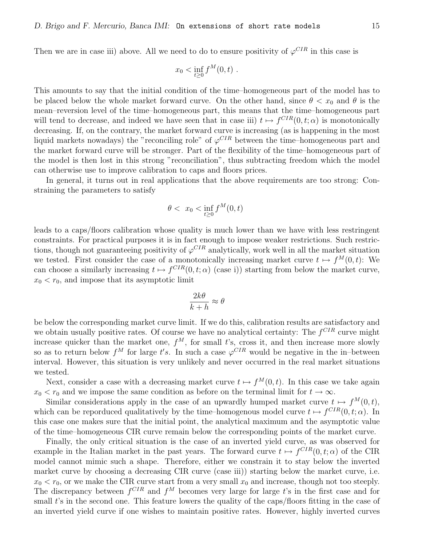Then we are in case iii) above. All we need to do to ensure positivity of  $\varphi^{CIR}$  in this case is

$$
x_0 < \inf_{t \ge 0} f^M(0, t)
$$
.

This amounts to say that the initial condition of the time–homogeneous part of the model has to be placed below the whole market forward curve. On the other hand, since  $\theta < x_0$  and  $\theta$  is the mean–reversion level of the time–homogeneous part, this means that the time–homogeneous part will tend to decrease, and indeed we have seen that in case iii)  $t \mapsto f^{CIR}(0, t; \alpha)$  is monotonically decreasing. If, on the contrary, the market forward curve is increasing (as is happening in the most liquid markets nowadays) the "reconciling role" of  $\varphi^{CIR}$  between the time-homogeneous part and the market forward curve will be stronger. Part of the flexibility of the time–homogeneous part of the model is then lost in this strong "reconciliation", thus subtracting freedom which the model can otherwise use to improve calibration to caps and floors prices.

In general, it turns out in real applications that the above requirements are too strong: Constraining the parameters to satisfy

$$
\theta < x_0 < \inf_{t \ge 0} f^M(0, t)
$$

leads to a caps/floors calibration whose quality is much lower than we have with less restringent constraints. For practical purposes it is in fact enough to impose weaker restrictions. Such restrictions, though not guaranteeing positivity of  $\varphi^{CIR}$  analytically, work well in all the market situation we tested. First consider the case of a monotonically increasing market curve  $t \mapsto f^M(0, t)$ : We can choose a similarly increasing  $t \mapsto f^{CIR}(0, t; \alpha)$  (case i)) starting from below the market curve,  $x_0 < r_0$ , and impose that its asymptotic limit

$$
\frac{2k\theta}{k+h} \approx \theta
$$

be below the corresponding market curve limit. If we do this, calibration results are satisfactory and we obtain usually positive rates. Of course we have no analytical certainty: The  $f^{CIR}$  curve might increase quicker than the market one,  $f^M$ , for small t's, cross it, and then increase more slowly so as to return below  $f^M$  for large t's. In such a case  $\varphi^{CIR}$  would be negative in the in-between interval. However, this situation is very unlikely and never occurred in the real market situations we tested.

Next, consider a case with a decreasing market curve  $t \mapsto f^M(0, t)$ . In this case we take again  $x_0 < r_0$  and we impose the same condition as before on the terminal limit for  $t \to \infty$ .

Similar considerations apply in the case of an upwardly humped market curve  $t \mapsto f^M(0, t)$ , which can be reporduced qualitatively by the time–homogenous model curve  $t \mapsto f^{CIR}(0, t; \alpha)$ . In this case one makes sure that the initial point, the analytical maximum and the asymptotic value of the time–homogeneous CIR curve remain below the corresponding points of the market curve.

Finally, the only critical situation is the case of an inverted yield curve, as was observed for example in the Italian market in the past years. The forward curve  $t \mapsto f^{CIR}(0, t; \alpha)$  of the CIR model cannot mimic such a shape. Therefore, either we constrain it to stay below the inverted market curve by choosing a decreasing CIR curve (case iii)) starting below the market curve, i.e.  $x_0 < r_0$ , or we make the CIR curve start from a very small  $x_0$  and increase, though not too steeply. The discrepancy between  $f^{CIR}$  and  $f^M$  becomes very large for large t's in the first case and for small t's in the second one. This feature lowers the quality of the caps/floors fitting in the case of an inverted yield curve if one wishes to maintain positive rates. However, highly inverted curves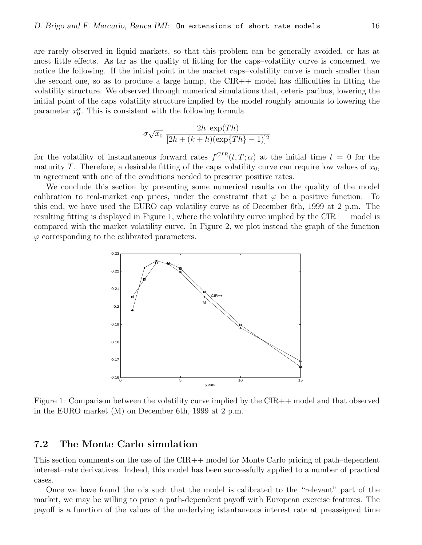are rarely observed in liquid markets, so that this problem can be generally avoided, or has at most little effects. As far as the quality of fitting for the caps–volatility curve is concerned, we notice the following. If the initial point in the market caps–volatility curve is much smaller than the second one, so as to produce a large hump, the  $CIR++$  model has difficulties in fitting the volatility structure. We observed through numerical simulations that, ceteris paribus, lowering the initial point of the caps volatility structure implied by the model roughly amounts to lowering the parameter  $x_0^{\alpha}$ . This is consistent with the following formula

$$
\sigma\sqrt{x_0} \frac{2h \exp(Th)}{[2h + (k+h)(\exp{Th} - 1)]^2}
$$

for the volatility of instantaneous forward rates  $f^{CIR}(t,T;\alpha)$  at the initial time  $t=0$  for the maturity T. Therefore, a desirable fitting of the caps volatility curve can require low values of  $x_0$ , in agreement with one of the conditions needed to preserve positive rates.

We conclude this section by presenting some numerical results on the quality of the model calibration to real-market cap prices, under the constraint that  $\varphi$  be a positive function. To this end, we have used the EURO cap volatility curve as of December 6th, 1999 at 2 p.m. The resulting fitting is displayed in Figure 1, where the volatility curve implied by the CIR++ model is compared with the market volatility curve. In Figure 2, we plot instead the graph of the function  $\varphi$  corresponding to the calibrated parameters.



Figure 1: Comparison between the volatility curve implied by the CIR++ model and that observed in the EURO market (M) on December 6th, 1999 at 2 p.m.

#### 7.2 The Monte Carlo simulation

This section comments on the use of the CIR++ model for Monte Carlo pricing of path–dependent interest–rate derivatives. Indeed, this model has been successfully applied to a number of practical cases.

Once we have found the  $\alpha$ 's such that the model is calibrated to the "relevant" part of the market, we may be willing to price a path-dependent payoff with European exercise features. The payoff is a function of the values of the underlying istantaneous interest rate at preassigned time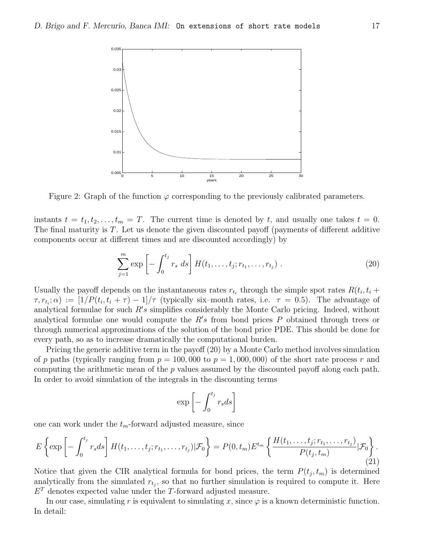

Figure 2: Graph of the function  $\varphi$  corresponding to the previously calibrated parameters.

instants  $t = t_1, t_2, \ldots, t_m = T$ . The current time is denoted by t, and usually one takes  $t = 0$ . The final maturity is T. Let us denote the given discounted payoff (payments of different additive components occur at different times and are discounted accordingly) by

$$
\sum_{j=1}^{m} \exp\left[-\int_0^{t_j} r_s \ ds\right] H(t_1, \ldots, t_j; r_{t_1}, \ldots, r_{t_j}). \tag{20}
$$

Usually the payoff depends on the instantaneous rates  $r_{t_i}$  through the simple spot rates  $R(t_i, t_i +$  $\tau, r_{t_i}; \alpha) := [1/P(t_i, t_i + \tau) - 1]/\tau$  (typically six-month rates, i.e.  $\tau = 0.5$ ). The advantage of analytical formulae for such  $R's$  simplifies considerably the Monte Carlo pricing. Indeed, without analytical formulae one would compute the  $R's$  from bond prices P obtained through trees or through numerical approximations of the solution of the bond price PDE. This should be done for every path, so as to increase dramatically the computational burden.

Pricing the generic additive term in the payoff (20) by a Monte Carlo method involves simulation of p paths (typically ranging from  $p = 100,000$  to  $p = 1,000,000$ ) of the short rate process r and computing the arithmetic mean of the  $p$  values assumed by the discounted payoff along each path. In order to avoid simulation of the integrals in the discounting terms

$$
\exp\left[-\int_0^{t_j} r_s ds\right]
$$

one can work under the  $t_m$ -forward adjusted measure, since

$$
E\left\{\exp\left[-\int_0^{t_j} r_s ds\right] H(t_1,\ldots,t_j; r_{t_1},\ldots,r_{t_j}) | \mathcal{F}_0\right\} = P(0,t_m) E^{t_m} \left\{\frac{H(t_1,\ldots,t_j; r_{t_1},\ldots,r_{t_j})}{P(t_j,t_m)} | \mathcal{F}_0\right\}.
$$
\n(21)

Notice that given the CIR analytical formula for bond prices, the term  $P(t_j, t_m)$  is determined analytically from the simulated  $r_{t_j}$ , so that no further simulation is required to compute it. Here  $E<sup>T</sup>$  denotes expected value under the T-forward adjusted measure.

In our case, simulating r is equivalent to simulating x, since  $\varphi$  is a known deterministic function. In detail: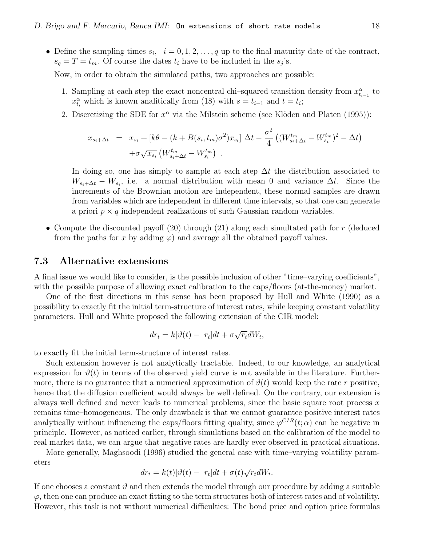• Define the sampling times  $s_i$ ,  $i = 0, 1, 2, \ldots, q$  up to the final maturity date of the contract,  $s_q = T = t_m$ . Of course the dates  $t_i$  have to be included in the  $s_j$ 's.

Now, in order to obtain the simulated paths, two approaches are possible:

- 1. Sampling at each step the exact noncentral chi–squared transition density from  $x_{t_{i-1}}^{\alpha}$  to  $x_{t_i}^{\alpha}$  which is known analitically from (18) with  $s = t_{i-1}$  and  $t = t_i$ ;
- 2. Discretizing the SDE for  $x^{\alpha}$  via the Milstein scheme (see Klöden and Platen (1995)):

$$
x_{s_i + \Delta t} = x_{s_i} + [k\theta - (k + B(s_i, t_m)\sigma^2)x_{s_i}] \Delta t - \frac{\sigma^2}{4} ((W^{t_m}_{s_i + \Delta t} - W^{t_m}_{s_i})^2 - \Delta t) + \sigma \sqrt{x_{s_i}} (W^{t_m}_{s_i + \Delta t} - W^{t_m}_{s_i}).
$$

In doing so, one has simply to sample at each step  $\Delta t$  the distribution associated to  $W_{s_i+\Delta t} - W_{s_i}$ , i.e. a normal distribution with mean 0 and variance  $\Delta t$ . Since the increments of the Brownian motion are independent, these normal samples are drawn from variables which are independent in different time intervals, so that one can generate a priori  $p \times q$  independent realizations of such Gaussian random variables.

• Compute the discounted payoff  $(20)$  through  $(21)$  along each simultated path for r (deduced from the paths for x by adding  $\varphi$ ) and average all the obtained payoff values.

#### 7.3 Alternative extensions

A final issue we would like to consider, is the possible inclusion of other "time–varying coefficients", with the possible purpose of allowing exact calibration to the caps/floors (at-the-money) market.

One of the first directions in this sense has been proposed by Hull and White (1990) as a possibility to exactly fit the initial term-structure of interest rates, while keeping constant volatility parameters. Hull and White proposed the following extension of the CIR model:

$$
dr_t = k[\vartheta(t) - r_t]dt + \sigma \sqrt{r_t}dW_t,
$$

to exactly fit the initial term-structure of interest rates.

Such extension however is not analytically tractable. Indeed, to our knowledge, an analytical expression for  $\vartheta(t)$  in terms of the observed yield curve is not available in the literature. Furthermore, there is no guarantee that a numerical approximation of  $\vartheta(t)$  would keep the rate r positive, hence that the diffusion coefficient would always be well defined. On the contrary, our extension is always well defined and never leads to numerical problems, since the basic square root process  $x$ remains time–homogeneous. The only drawback is that we cannot guarantee positive interest rates analytically without influencing the caps/floors fitting quality, since  $\varphi^{CIR}(t;\alpha)$  can be negative in principle. However, as noticed earlier, through simulations based on the calibration of the model to real market data, we can argue that negative rates are hardly ever observed in practical situations.

More generally, Maghsoodi (1996) studied the general case with time–varying volatility parameters

$$
dr_t = k(t)[\vartheta(t) - r_t]dt + \sigma(t)\sqrt{r_t}dW_t.
$$

If one chooses a constant  $\vartheta$  and then extends the model through our procedure by adding a suitable  $\varphi$ , then one can produce an exact fitting to the term structures both of interest rates and of volatility. However, this task is not without numerical difficulties: The bond price and option price formulas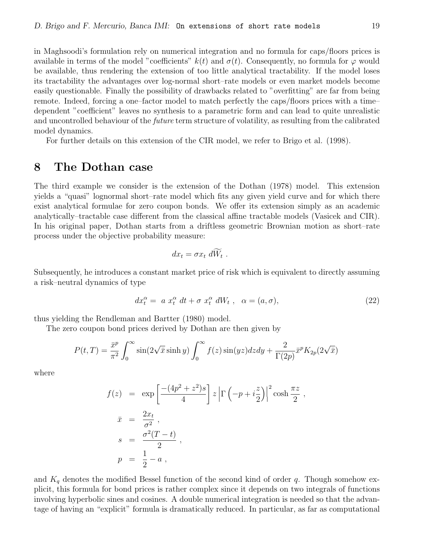in Maghsoodi's formulation rely on numerical integration and no formula for caps/floors prices is available in terms of the model "coefficients"  $k(t)$  and  $\sigma(t)$ . Consequently, no formula for  $\varphi$  would be available, thus rendering the extension of too little analytical tractability. If the model loses its tractability the advantages over log-normal short–rate models or even market models become easily questionable. Finally the possibility of drawbacks related to "overfitting" are far from being remote. Indeed, forcing a one–factor model to match perfectly the caps/floors prices with a time– dependent "coefficient" leaves no synthesis to a parametric form and can lead to quite unrealistic and uncontrolled behaviour of the future term structure of volatility, as resulting from the calibrated model dynamics.

For further details on this extension of the CIR model, we refer to Brigo et al. (1998).

### 8 The Dothan case

The third example we consider is the extension of the Dothan (1978) model. This extension yields a "quasi" lognormal short–rate model which fits any given yield curve and for which there exist analytical formulae for zero coupon bonds. We offer its extension simply as an academic analytically–tractable case different from the classical affine tractable models (Vasicek and CIR). In his original paper, Dothan starts from a driftless geometric Brownian motion as short–rate process under the objective probability measure:

$$
dx_t = \sigma x_t \, dW_t \; .
$$

Subsequently, he introduces a constant market price of risk which is equivalent to directly assuming a risk–neutral dynamics of type

$$
dx_t^{\alpha} = a x_t^{\alpha} dt + \sigma x_t^{\alpha} dW_t, \quad \alpha = (a, \sigma), \tag{22}
$$

thus yielding the Rendleman and Bartter (1980) model.

The zero coupon bond prices derived by Dothan are then given by

$$
P(t,T) = \frac{\bar{x}^p}{\pi^2} \int_0^\infty \sin(2\sqrt{\bar{x}}\sinh y) \int_0^\infty f(z)\sin(yz)dzdy + \frac{2}{\Gamma(2p)}\bar{x}^p K_{2p}(2\sqrt{\bar{x}})
$$

where

$$
f(z) = \exp\left[\frac{-(4p^2 + z^2)s}{4}\right]z\left|\Gamma\left(-p + i\frac{z}{2}\right)\right|^2\cosh\frac{\pi z}{2},
$$
  
\n
$$
\bar{x} = \frac{2x_t}{\sigma^2},
$$
  
\n
$$
s = \frac{\sigma^2(T - t)}{2},
$$
  
\n
$$
p = \frac{1}{2} - a,
$$

and  $K_q$  denotes the modified Bessel function of the second kind of order q. Though somehow explicit, this formula for bond prices is rather complex since it depends on two integrals of functions involving hyperbolic sines and cosines. A double numerical integration is needed so that the advantage of having an "explicit" formula is dramatically reduced. In particular, as far as computational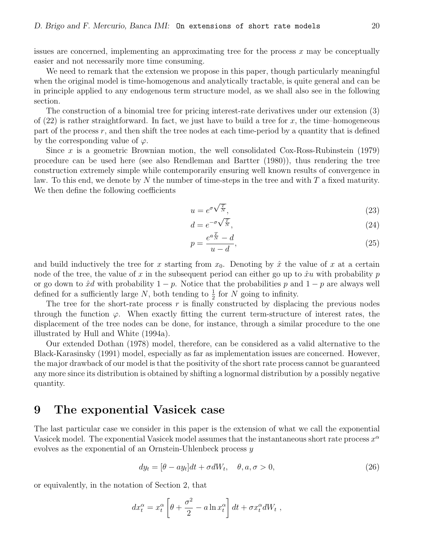issues are concerned, implementing an approximating tree for the process  $x$  may be conceptually easier and not necessarily more time consuming.

We need to remark that the extension we propose in this paper, though particularly meaningful when the original model is time-homogenous and analytically tractable, is quite general and can be in principle applied to any endogenous term structure model, as we shall also see in the following section.

The construction of a binomial tree for pricing interest-rate derivatives under our extension (3) of  $(22)$  is rather straightforward. In fact, we just have to build a tree for x, the time-homogeneous part of the process  $r$ , and then shift the tree nodes at each time-period by a quantity that is defined by the corresponding value of  $\varphi$ .

Since  $x$  is a geometric Brownian motion, the well consolidated Cox-Ross-Rubinstein (1979) procedure can be used here (see also Rendleman and Bartter (1980)), thus rendering the tree construction extremely simple while contemporarily ensuring well known results of convergence in law. To this end, we denote by N the number of time-steps in the tree and with  $T$  a fixed maturity. We then define the following coefficients

$$
u = e^{\sigma \sqrt{\frac{T}{N}}},\tag{23}
$$

$$
d = e^{-\sigma \sqrt{\frac{T}{N}}},\tag{24}
$$

$$
p = \frac{e^{a\frac{T}{N}} - d}{u - d},\tag{25}
$$

and build inductively the tree for x starting from  $x_0$ . Denoting by  $\hat{x}$  the value of x at a certain node of the tree, the value of x in the subsequent period can either go up to  $\hat{x}u$  with probability p or go down to  $\hat{x}d$  with probability  $1 - p$ . Notice that the probabilities p and  $1 - p$  are always well defined for a sufficiently large  $N$ , both tending to  $\frac{1}{2}$  for  $N$  going to infinity.

The tree for the short-rate process  $r$  is finally constructed by displacing the previous nodes through the function  $\varphi$ . When exactly fitting the current term-structure of interest rates, the displacement of the tree nodes can be done, for instance, through a similar procedure to the one illustrated by Hull and White (1994a).

Our extended Dothan (1978) model, therefore, can be considered as a valid alternative to the Black-Karasinsky (1991) model, especially as far as implementation issues are concerned. However, the major drawback of our model is that the positivity of the short rate process cannot be guaranteed any more since its distribution is obtained by shifting a lognormal distribution by a possibly negative quantity.

#### 9 The exponential Vasicek case

The last particular case we consider in this paper is the extension of what we call the exponential Vasicek model. The exponential Vasicek model assumes that the instantaneous short rate process  $x^{\alpha}$ evolves as the exponential of an Ornstein-Uhlenbeck process y

$$
dy_t = [\theta - ay_t]dt + \sigma dW_t, \quad \theta, a, \sigma > 0,
$$
\n(26)

or equivalently, in the notation of Section 2, that

$$
dx_t^{\alpha} = x_t^{\alpha} \left[ \theta + \frac{\sigma^2}{2} - a \ln x_t^{\alpha} \right] dt + \sigma x_t^{\alpha} dW_t,
$$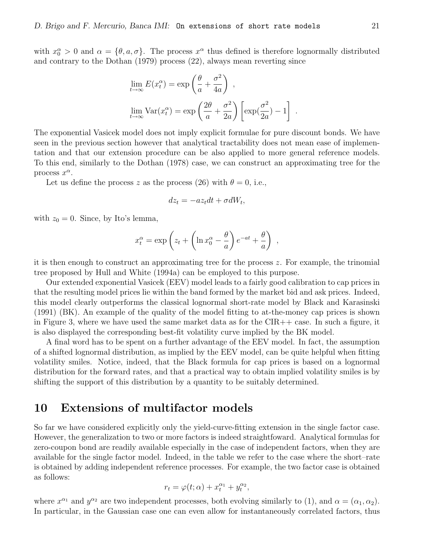with  $x_0^{\alpha} > 0$  and  $\alpha = {\theta, a, \sigma}$ . The process  $x^{\alpha}$  thus defined is therefore lognormally distributed and contrary to the Dothan (1979) process (22), always mean reverting since

$$
\lim_{t \to \infty} E(x_t^{\alpha}) = \exp\left(\frac{\theta}{a} + \frac{\sigma^2}{4a}\right),
$$
  

$$
\lim_{t \to \infty} \text{Var}(x_t^{\alpha}) = \exp\left(\frac{2\theta}{a} + \frac{\sigma^2}{2a}\right) \left[\exp(\frac{\sigma^2}{2a}) - 1\right].
$$

The exponential Vasicek model does not imply explicit formulae for pure discount bonds. We have seen in the previous section however that analytical tractability does not mean ease of implementation and that our extension procedure can be also applied to more general reference models. To this end, similarly to the Dothan (1978) case, we can construct an approximating tree for the process  $x^{\alpha}$ .

Let us define the process z as the process (26) with  $\theta = 0$ , i.e.,

$$
dz_t = -az_t dt + \sigma dW_t,
$$

with  $z_0 = 0$ . Since, by Ito's lemma,

$$
x_t^{\alpha} = \exp\left(z_t + \left(\ln x_0^{\alpha} - \frac{\theta}{a}\right)e^{-at} + \frac{\theta}{a}\right) ,
$$

it is then enough to construct an approximating tree for the process z. For example, the trinomial tree proposed by Hull and White (1994a) can be employed to this purpose.

Our extended exponential Vasicek (EEV) model leads to a fairly good calibration to cap prices in that the resulting model prices lie within the band formed by the market bid and ask prices. Indeed, this model clearly outperforms the classical lognormal short-rate model by Black and Karasinski (1991) (BK). An example of the quality of the model fitting to at-the-money cap prices is shown in Figure 3, where we have used the same market data as for the CIR++ case. In such a figure, it is also displayed the corresponding best-fit volatility curve implied by the BK model.

A final word has to be spent on a further advantage of the EEV model. In fact, the assumption of a shifted lognormal distribution, as implied by the EEV model, can be quite helpful when fitting volatility smiles. Notice, indeed, that the Black formula for cap prices is based on a lognormal distribution for the forward rates, and that a practical way to obtain implied volatility smiles is by shifting the support of this distribution by a quantity to be suitably determined.

#### 10 Extensions of multifactor models

So far we have considered explicitly only the yield-curve-fitting extension in the single factor case. However, the generalization to two or more factors is indeed straightfoward. Analytical formulas for zero-coupon bond are readily available especially in the case of independent factors, when they are available for the single factor model. Indeed, in the table we refer to the case where the short–rate is obtained by adding independent reference processes. For example, the two factor case is obtained as follows:

$$
r_t = \varphi(t; \alpha) + x_t^{\alpha_1} + y_t^{\alpha_2},
$$

where  $x^{\alpha_1}$  and  $y^{\alpha_2}$  are two independent processes, both evolving similarly to (1), and  $\alpha = (\alpha_1, \alpha_2)$ . In particular, in the Gaussian case one can even allow for instantaneously correlated factors, thus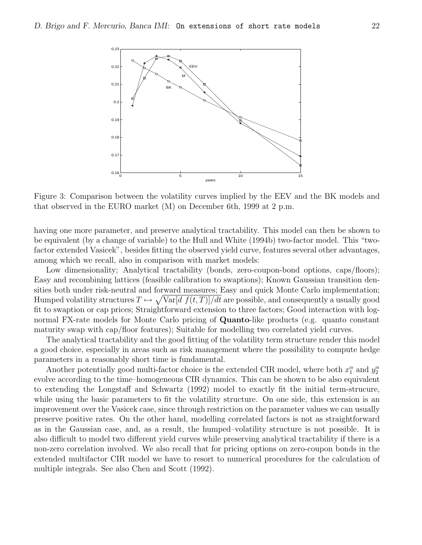

Figure 3: Comparison between the volatility curves implied by the EEV and the BK models and that observed in the EURO market (M) on December 6th, 1999 at 2 p.m.

having one more parameter, and preserve analytical tractability. This model can then be shown to be equivalent (by a change of variable) to the Hull and White (1994b) two-factor model. This "twofactor extended Vasicek", besides fitting the observed yield curve, features several other advantages, among which we recall, also in comparison with market models:

Low dimensionality; Analytical tractability (bonds, zero-coupon-bond options, caps/floors); Easy and recombining lattices (feasible calibration to swaptions); Known Gaussian transition densities both under risk-neutral and forward measures; Easy and quick Monte Carlo implementation; Humped volatility structures  $T \mapsto \sqrt{\text{Var}[d\ f(t,T)]/dt}$  are possible, and consequently a usually good fit to swaption or cap prices; Straightforward extension to three factors; Good interaction with lognormal FX-rate models for Monte Carlo pricing of **Quanto**-like products (e.g. quanto constant maturity swap with cap/floor features); Suitable for modelling two correlated yield curves.

The analytical tractability and the good fitting of the volatility term structure render this model a good choice, especially in areas such as risk management where the possibility to compute hedge parameters in a reasonably short time is fundamental.

Another potentially good multi-factor choice is the extended CIR model, where both  $x_1^{\alpha}$  and  $y_2^{\alpha}$ evolve according to the time–homogeneous CIR dynamics. This can be shown to be also equivalent to extending the Longstaff and Schwartz (1992) model to exactly fit the initial term-strucure, while using the basic parameters to fit the volatility structure. On one side, this extension is an improvement over the Vasicek case, since through restriction on the parameter values we can usually preserve positive rates. On the other hand, modelling correlated factors is not as straightforward as in the Gaussian case, and, as a result, the humped–volatility structure is not possible. It is also difficult to model two different yield curves while preserving analytical tractability if there is a non-zero correlation involved. We also recall that for pricing options on zero-coupon bonds in the extended multifactor CIR model we have to resort to numerical procedures for the calculation of multiple integrals. See also Chen and Scott (1992).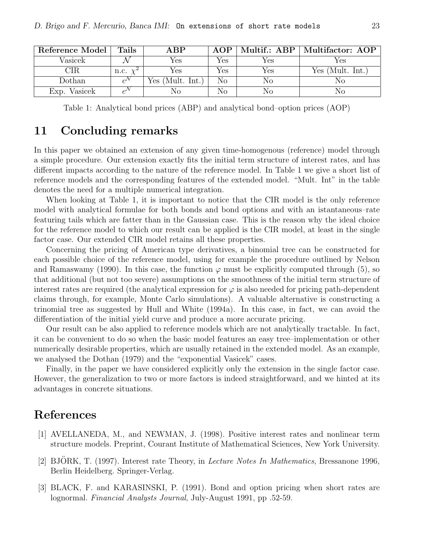| Reference Model | Tails           | AP                    | AOP |             | Multif.: ABP   Multifactor: AOP |
|-----------------|-----------------|-----------------------|-----|-------------|---------------------------------|
| Vasicek         |                 | Yes                   | Yes | Yes         | Yes                             |
|                 | n.c.            | Yes                   | Yes | Yes         | Yes (Mult. Int.)                |
| Dothan          | $\rho^{\prime}$ | (Mult. Int.)<br>Yes ( | No  | $_{\rm No}$ | Nο                              |
| Vasicek<br>Exp. |                 |                       | No  | No          | Nο                              |

Table 1: Analytical bond prices (ABP) and analytical bond–option prices (AOP)

### 11 Concluding remarks

In this paper we obtained an extension of any given time-homogenous (reference) model through a simple procedure. Our extension exactly fits the initial term structure of interest rates, and has different impacts according to the nature of the reference model. In Table 1 we give a short list of reference models and the corresponding features of the extended model. "Mult. Int" in the table denotes the need for a multiple numerical integration.

When looking at Table 1, it is important to notice that the CIR model is the only reference model with analytical formulae for both bonds and bond options and with an istantaneous–rate featuring tails which are fatter than in the Gaussian case. This is the reason why the ideal choice for the reference model to which our result can be applied is the CIR model, at least in the single factor case. Our extended CIR model retains all these properties.

Concerning the pricing of American type derivatives, a binomial tree can be constructed for each possible choice of the reference model, using for example the procedure outlined by Nelson and Ramaswamy (1990). In this case, the function  $\varphi$  must be explicitly computed through (5), so that additional (but not too severe) assumptions on the smoothness of the initial term structure of interest rates are required (the analytical expression for  $\varphi$  is also needed for pricing path-dependent claims through, for example, Monte Carlo simulations). A valuable alternative is constructing a trinomial tree as suggested by Hull and White (1994a). In this case, in fact, we can avoid the differentiation of the initial yield curve and produce a more accurate pricing.

Our result can be also applied to reference models which are not analytically tractable. In fact, it can be convenient to do so when the basic model features an easy tree–implementation or other numerically desirable properties, which are usually retained in the extended model. As an example, we analysed the Dothan (1979) and the "exponential Vasicek" cases.

Finally, in the paper we have considered explicitly only the extension in the single factor case. However, the generalization to two or more factors is indeed straightforward, and we hinted at its advantages in concrete situations.

## References

- [1] AVELLANEDA, M., and NEWMAN, J. (1998). Positive interest rates and nonlinear term structure models. Preprint, Courant Institute of Mathematical Sciences, New York University.
- [2] BJÖRK, T. (1997). Interest rate Theory, in *Lecture Notes In Mathematics*, Bressanone 1996, Berlin Heidelberg. Springer-Verlag.
- [3] BLACK, F. and KARASINSKI, P. (1991). Bond and option pricing when short rates are lognormal. Financial Analysts Journal, July-August 1991, pp .52-59.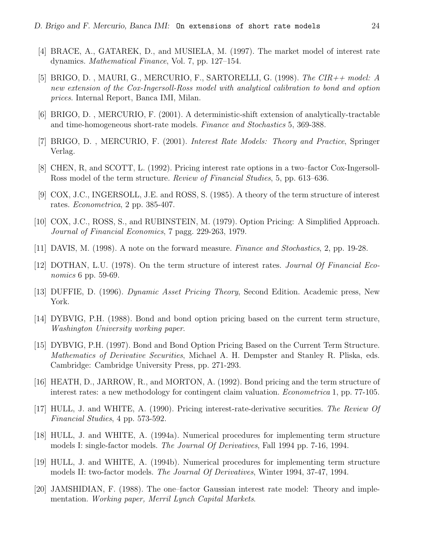- [4] BRACE, A., GATAREK, D., and MUSIELA, M. (1997). The market model of interest rate dynamics. Mathematical Finance, Vol. 7, pp. 127–154.
- [5] BRIGO, D., MAURI, G., MERCURIO, F., SARTORELLI, G. (1998). The  $CIR + \text{\textit{model}}$ : A new extension of the Cox-Ingersoll-Ross model with analytical calibration to bond and option prices. Internal Report, Banca IMI, Milan.
- [6] BRIGO, D. , MERCURIO, F. (2001). A deterministic-shift extension of analytically-tractable and time-homogeneous short-rate models. Finance and Stochastics 5, 369-388.
- [7] BRIGO, D. , MERCURIO, F. (2001). Interest Rate Models: Theory and Practice, Springer Verlag.
- [8] CHEN, R, and SCOTT, L. (1992). Pricing interest rate options in a two–factor Cox-Ingersoll-Ross model of the term structure. Review of Financial Studies, 5, pp. 613–636.
- [9] COX, J.C., INGERSOLL, J.E. and ROSS, S. (1985). A theory of the term structure of interest rates. Econometrica, 2 pp. 385-407.
- [10] COX, J.C., ROSS, S., and RUBINSTEIN, M. (1979). Option Pricing: A Simplified Approach. Journal of Financial Economics, 7 pagg. 229-263, 1979.
- [11] DAVIS, M. (1998). A note on the forward measure. Finance and Stochastics, 2, pp. 19-28.
- [12] DOTHAN, L.U. (1978). On the term structure of interest rates. Journal Of Financial Economics 6 pp. 59-69.
- [13] DUFFIE, D. (1996). Dynamic Asset Pricing Theory, Second Edition. Academic press, New York.
- [14] DYBVIG, P.H. (1988). Bond and bond option pricing based on the current term structure, Washington University working paper.
- [15] DYBVIG, P.H. (1997). Bond and Bond Option Pricing Based on the Current Term Structure. Mathematics of Derivative Securities, Michael A. H. Dempster and Stanley R. Pliska, eds. Cambridge: Cambridge University Press, pp. 271-293.
- [16] HEATH, D., JARROW, R., and MORTON, A. (1992). Bond pricing and the term structure of interest rates: a new methodology for contingent claim valuation. Econometrica 1, pp. 77-105.
- [17] HULL, J. and WHITE, A. (1990). Pricing interest-rate-derivative securities. The Review Of Financial Studies, 4 pp. 573-592.
- [18] HULL, J. and WHITE, A. (1994a). Numerical procedures for implementing term structure models I: single-factor models. The Journal Of Derivatives, Fall 1994 pp. 7-16, 1994.
- [19] HULL, J. and WHITE, A. (1994b). Numerical procedures for implementing term structure models II: two-factor models. The Journal Of Derivatives, Winter 1994, 37-47, 1994.
- [20] JAMSHIDIAN, F. (1988). The one–factor Gaussian interest rate model: Theory and implementation. Working paper, Merril Lynch Capital Markets.